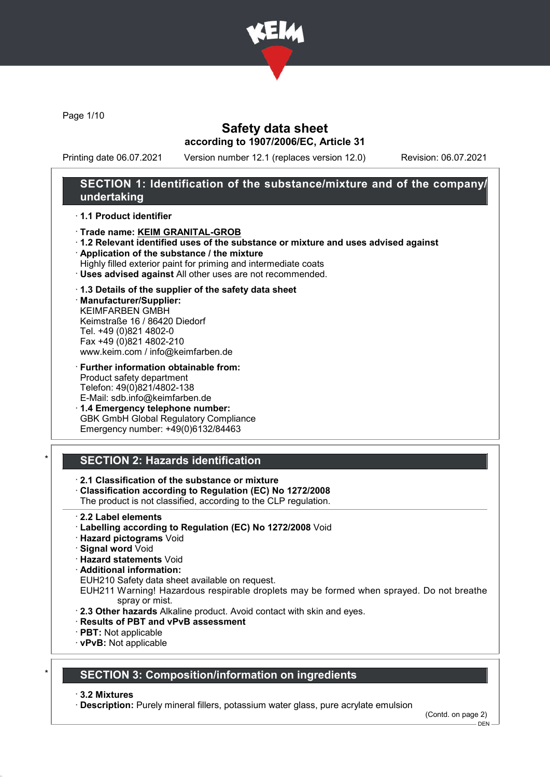

Page 1/10

## Safety data sheet according to 1907/2006/EC, Article 31

Printing date 06.07.2021 Version number 12.1 (replaces version 12.0) Revision: 06.07.2021

## SECTION 1: Identification of the substance/mixture and of the company/ undertaking

### · 1.1 Product identifier

- · Trade name: KEIM GRANITAL-GROB
- · 1.2 Relevant identified uses of the substance or mixture and uses advised against
- · Application of the substance / the mixture
- Highly filled exterior paint for priming and intermediate coats
- · Uses advised against All other uses are not recommended.

### · 1.3 Details of the supplier of the safety data sheet

· Manufacturer/Supplier: KEIMFARBEN GMBH Keimstraße 16 / 86420 Diedorf Tel. +49 (0)821 4802-0 Fax +49 (0)821 4802-210 www.keim.com / info@keimfarben.de

· Further information obtainable from: Product safety department Telefon: 49(0)821/4802-138 E-Mail: sdb.info@keimfarben.de

· 1.4 Emergency telephone number: GBK GmbH Global Regulatory Compliance Emergency number: +49(0)6132/84463

## SECTION 2: Hazards identification

- · 2.1 Classification of the substance or mixture
- · Classification according to Regulation (EC) No 1272/2008
- The product is not classified, according to the CLP regulation.
- · 2.2 Label elements
- · Labelling according to Regulation (EC) No 1272/2008 Void
- · Hazard pictograms Void
- · Signal word Void
- · Hazard statements Void
- · Additional information:
- EUH210 Safety data sheet available on request.
- EUH211 Warning! Hazardous respirable droplets may be formed when sprayed. Do not breathe spray or mist.
- · 2.3 Other hazards Alkaline product. Avoid contact with skin and eyes.
- · Results of PBT and vPvB assessment
- · PBT: Not applicable
- · vPvB: Not applicable

### **SECTION 3: Composition/information on ingredients**

· 3.2 Mixtures

· Description: Purely mineral fillers, potassium water glass, pure acrylate emulsion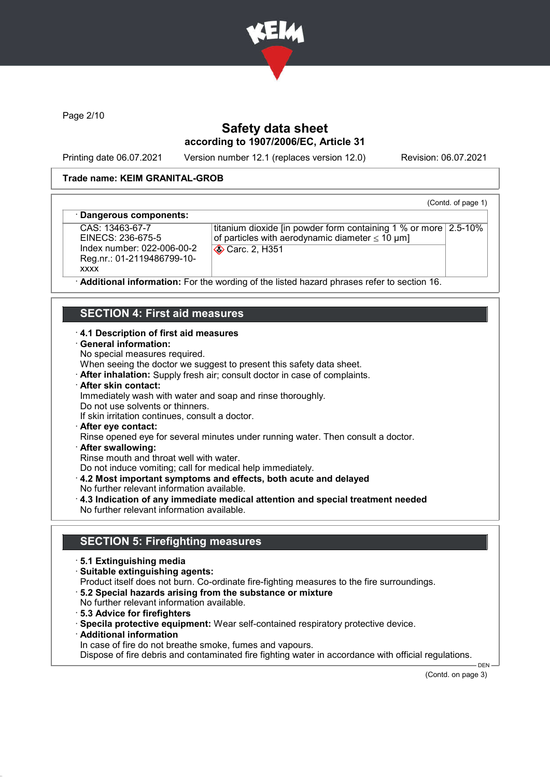

Page 2/10

## Safety data sheet according to 1907/2006/EC, Article 31

Printing date 06.07.2021 Version number 12.1 (replaces version 12.0) Revision: 06.07.2021

### Trade name: KEIM GRANITAL-GROB

### (Contd. of page 1)

#### Dangerous components:

CAS: 13463-67-7 EINECS: 236-675-5 Index number: 022-006-00-2 Reg.nr.: 01-2119486799-10 xxxx

titanium dioxide [in powder form containing 1 % or more 2.5-10% of particles with aerodynamic diameter  $\leq 10 \text{ }\mu\text{m}$ ] **Carc. 2, H351** 

Additional information: For the wording of the listed hazard phrases refer to section 16.

## SECTION 4: First aid measures

#### · 4.1 Description of first aid measures

- · General information:
- No special measures required.

When seeing the doctor we suggest to present this safety data sheet.

- · After inhalation: Supply fresh air; consult doctor in case of complaints.
- · After skin contact:
- Immediately wash with water and soap and rinse thoroughly.
- Do not use solvents or thinners.
- If skin irritation continues, consult a doctor.
- · After eye contact:
- Rinse opened eye for several minutes under running water. Then consult a doctor.
- · After swallowing:

Rinse mouth and throat well with water.

Do not induce vomiting; call for medical help immediately.

- · 4.2 Most important symptoms and effects, both acute and delayed
- No further relevant information available.
- · 4.3 Indication of any immediate medical attention and special treatment needed No further relevant information available.

### SECTION 5: Firefighting measures

- · 5.1 Extinguishing media
- · Suitable extinguishing agents:
- Product itself does not burn. Co-ordinate fire-fighting measures to the fire surroundings.
- · 5.2 Special hazards arising from the substance or mixture
- No further relevant information available.
- · 5.3 Advice for firefighters
- · Specila protective equipment: Wear self-contained respiratory protective device.
- · Additional information
- In case of fire do not breathe smoke, fumes and vapours.

Dispose of fire debris and contaminated fire fighting water in accordance with official regulations.

(Contd. on page 3)

DEN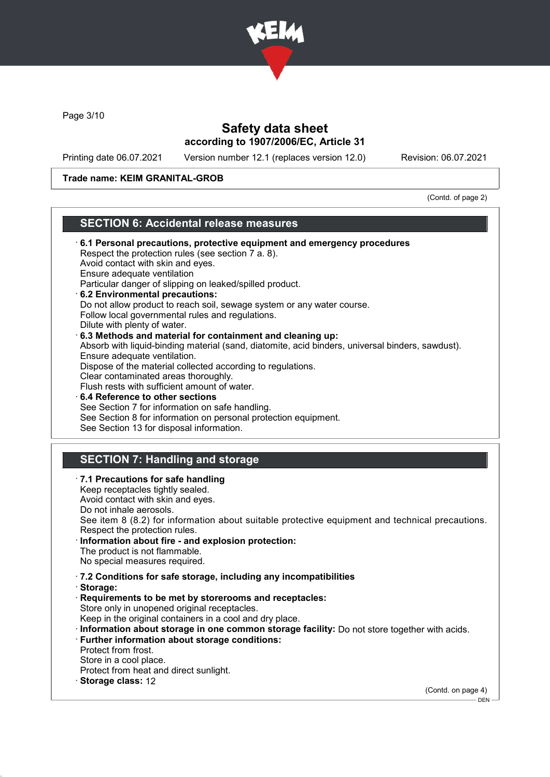

Page 3/10

## Safety data sheet according to 1907/2006/EC, Article 31

Printing date 06.07.2021 Version number 12.1 (replaces version 12.0) Revision: 06.07.2021

### Trade name: KEIM GRANITAL-GROB

(Contd. of page 2)

# SECTION 6: Accidental release measures

| 6.1 Personal precautions, protective equipment and emergency procedures                          |  |
|--------------------------------------------------------------------------------------------------|--|
| Respect the protection rules (see section 7 a. 8).                                               |  |
| Avoid contact with skin and eyes.                                                                |  |
| Ensure adequate ventilation                                                                      |  |
| Particular danger of slipping on leaked/spilled product.                                         |  |
| 6.2 Environmental precautions:                                                                   |  |
| Do not allow product to reach soil, sewage system or any water course.                           |  |
| Follow local governmental rules and regulations.                                                 |  |
| Dilute with plenty of water.                                                                     |  |
| 6.3 Methods and material for containment and cleaning up:                                        |  |
| Absorb with liquid-binding material (sand, diatomite, acid binders, universal binders, sawdust). |  |
| Ensure adequate ventilation.                                                                     |  |
| Dispose of the material collected according to regulations.                                      |  |
| Clear contaminated areas thoroughly.                                                             |  |
| Flush rests with sufficient amount of water.                                                     |  |
| 6.4 Reference to other sections                                                                  |  |
| See Section 7 for information on safe handling.                                                  |  |
| See Section 8 for information on personal protection equipment.                                  |  |
| See Section 13 for disposal information.                                                         |  |
|                                                                                                  |  |
| <b>SECTION 7: Handling and storage</b>                                                           |  |
| · 7.1 Precautions for safe handling                                                              |  |
| Keep receptacles tightly sealed.                                                                 |  |
| Avoid contact with skin and eyes.                                                                |  |
| Do not inhale aerosols.                                                                          |  |
| See item 8 (8.2) for information about suitable protective equipment and technical precautions.  |  |
| Respect the protection rules.                                                                    |  |
| · Information about fire - and explosion protection:                                             |  |
| The product is not flammable.                                                                    |  |
| No special measures required.                                                                    |  |
|                                                                                                  |  |
| .7.2 Conditions for safe storage, including any incompatibilities                                |  |
| Storage:                                                                                         |  |
| Requirements to be met by storerooms and receptacles:                                            |  |
| Store only in unopened original receptacles.                                                     |  |
| Keep in the original containers in a cool and dry place.                                         |  |
| · Information about storage in one common storage facility: Do not store together with acids.    |  |
| · Further information about storage conditions:                                                  |  |
| Protect from frost.                                                                              |  |
| Store in a cool place.                                                                           |  |
| Protect from heat and direct sunlight.                                                           |  |
| · Storage class: 12                                                                              |  |
| (Contd. on page 4)                                                                               |  |
| DEN-                                                                                             |  |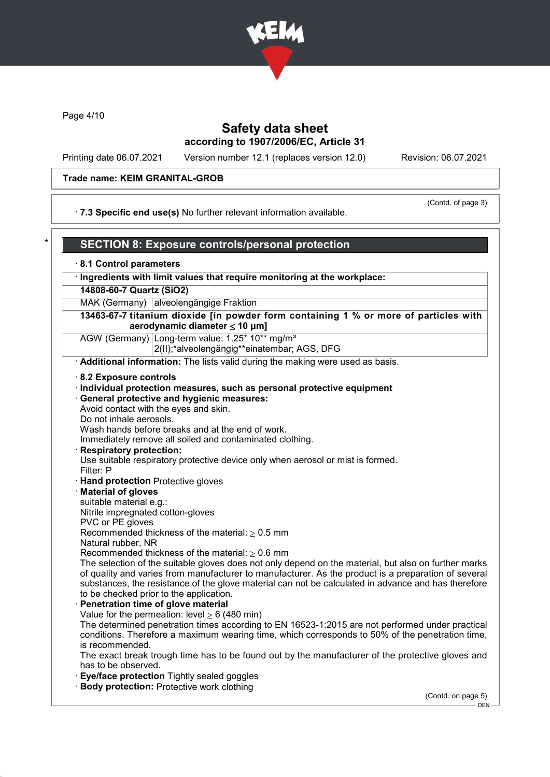

Page 4/10

## Safety data sheet according to 1907/2006/EC, Article 31

Printing date 06.07.2021 Version number 12.1 (replaces version 12.0) Revision: 06.07.2021

### Trade name: KEIM GRANITAL-GROB

### · 7.3 Specific end use(s) No further relevant information available.

(Contd. of page 3)

| $\star$ | 「SECTION 8: Exposure controls/personal protection」 |  |
|---------|----------------------------------------------------|--|
|---------|----------------------------------------------------|--|

## · 8.1 Control parameters

· Ingredients with limit values that require monitoring at the workplace:

### 14808-60-7 Quartz (SiO2)

MAK (Germany) alveolengängige Fraktion

13463-67-7 titanium dioxide [in powder form containing 1 % or more of particles with aerodynamic diameter  $\leq 10 \mu m$ ]

AGW (Germany) Long-term value: 1.25\* 10\*\* mg/m<sup>3</sup>

2(II);\*alveolengängig\*\*einatembar; AGS, DFG

· Additional information: The lists valid during the making were used as basis.

#### · 8.2 Exposure controls

#### · Individual protection measures, such as personal protective equipment

General protective and hygienic measures:

Avoid contact with the eyes and skin.

Do not inhale aerosols.

Wash hands before breaks and at the end of work.

Immediately remove all soiled and contaminated clothing.

#### **Respiratory protection:**

Use suitable respiratory protective device only when aerosol or mist is formed. Filter: P

· Hand protection Protective gloves

### · Material of gloves

suitable material e.g.:

Nitrile impregnated cotton-gloves

PVC or PE gloves

Recommended thickness of the material:  $\geq 0.5$  mm

Natural rubber, NR

Recommended thickness of the material:  $\geq 0.6$  mm

The selection of the suitable gloves does not only depend on the material, but also on further marks of quality and varies from manufacturer to manufacturer. As the product is a preparation of several substances, the resistance of the glove material can not be calculated in advance and has therefore to be checked prior to the application.

Penetration time of glove material Value for the permeation: level  $> 6$  (480 min) The determined penetration times according to EN 16523-1:2015 are not performed under practical conditions. Therefore a maximum wearing time, which corresponds to 50% of the penetration time, is recommended.

The exact break trough time has to be found out by the manufacturer of the protective gloves and has to be observed.

- **Eye/face protection Tightly sealed goggles**
- · Body protection: Protective work clothing

(Contd. on page 5) DEN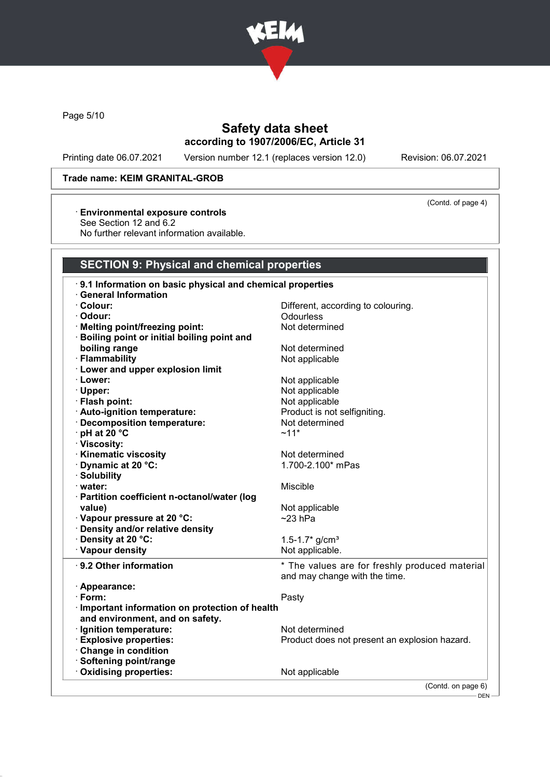

Page 5/10

# Safety data sheet according to 1907/2006/EC, Article 31

Printing date 06.07.2021 Version number 12.1 (replaces version 12.0) Revision: 06.07.2021

### Trade name: KEIM GRANITAL-GROB

## · Environmental exposure controls

See Section 12 and 6.2

No further relevant information available.

### SECTION 9: Physical and chemical properties

| 9.1 Information on basic physical and chemical properties |                                                |
|-----------------------------------------------------------|------------------------------------------------|
| <b>General Information</b>                                |                                                |
| $\cdot$ Colour:                                           | Different, according to colouring.             |
| · Odour:                                                  | Odourless                                      |
| · Melting point/freezing point:                           | Not determined                                 |
| Boiling point or initial boiling point and                |                                                |
| boiling range                                             | Not determined                                 |
| · Flammability                                            | Not applicable                                 |
| · Lower and upper explosion limit                         |                                                |
| · Lower:                                                  | Not applicable                                 |
| · Upper:                                                  | Not applicable                                 |
| · Flash point:                                            | Not applicable                                 |
| · Auto-ignition temperature:                              | Product is not selfigniting.                   |
| Decomposition temperature:                                | Not determined                                 |
| $\cdot$ pH at 20 $\degree$ C                              | $~11*$                                         |
| · Viscosity:                                              |                                                |
| <b>Kinematic viscosity</b>                                | Not determined                                 |
| Dynamic at 20 °C:                                         | 1.700-2.100* mPas                              |
| · Solubility                                              |                                                |
| · water:                                                  | Miscible                                       |
| · Partition coefficient n-octanol/water (log              |                                                |
| value)                                                    | Not applicable                                 |
| · Vapour pressure at 20 °C:                               | $~23$ hPa                                      |
| <b>Density and/or relative density</b>                    |                                                |
| · Density at 20 °C:                                       | 1.5-1.7 $*$ g/cm <sup>3</sup>                  |
| · Vapour density                                          | Not applicable.                                |
|                                                           |                                                |
| $\cdot$ 9.2 Other information                             | * The values are for freshly produced material |
|                                                           | and may change with the time.                  |
| · Appearance:<br>· Form:                                  |                                                |
|                                                           | Pasty                                          |
| Important information on protection of health             |                                                |
| and environment, and on safety.                           |                                                |
| · Ignition temperature:                                   | Not determined                                 |
| <b>Explosive properties:</b>                              | Product does not present an explosion hazard.  |
| Change in condition                                       |                                                |
| · Softening point/range                                   |                                                |
| Oxidising properties:                                     | Not applicable                                 |
|                                                           | (Contd. on page 6)                             |

(Contd. of page 4)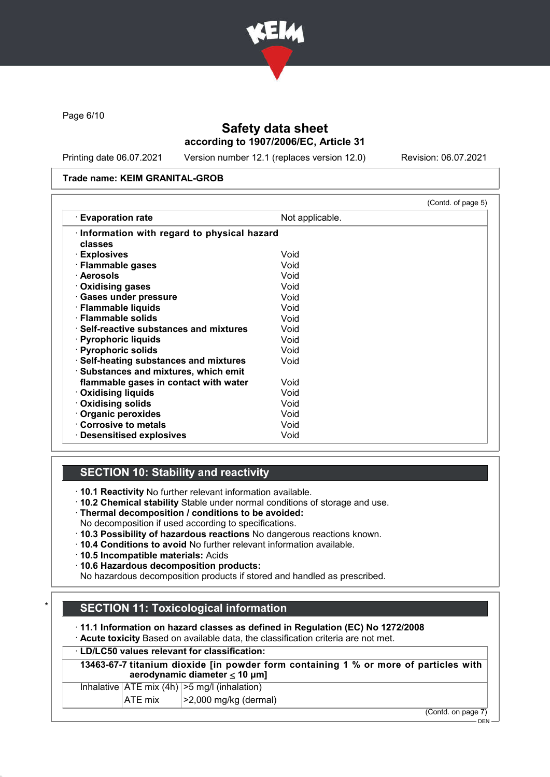

Page 6/10

## Safety data sheet according to 1907/2006/EC, Article 31

Printing date 06.07.2021 Version number 12.1 (replaces version 12.0) Revision: 06.07.2021

### Trade name: KEIM GRANITAL-GROB

|                                                                                 |                 | (Contd. of page 5) |
|---------------------------------------------------------------------------------|-----------------|--------------------|
| <b>Evaporation rate</b>                                                         | Not applicable. |                    |
| Information with regard to physical hazard<br>classes                           |                 |                    |
| · Explosives                                                                    | Void            |                    |
| · Flammable gases                                                               | Void            |                    |
| · Aerosols                                                                      | Void            |                    |
| Oxidising gases                                                                 | Void            |                    |
| · Gases under pressure                                                          | Void            |                    |
| · Flammable liquids                                                             | Void            |                    |
| · Flammable solids                                                              | Void            |                    |
| $\cdot$ Self-reactive substances and mixtures                                   | Void            |                    |
| · Pyrophoric liquids                                                            | Void            |                    |
| · Pyrophoric solids                                                             | Void            |                    |
| · Self-heating substances and mixtures<br>· Substances and mixtures, which emit | Void            |                    |
| flammable gases in contact with water                                           | Void            |                    |
| <b>⋅ Oxidising liquids</b>                                                      | Void            |                    |
| Oxidising solids                                                                | Void            |                    |
| Organic peroxides                                                               | Void            |                    |
| Corrosive to metals                                                             | Void            |                    |
| <b>Desensitised explosives</b>                                                  | Void            |                    |

## SECTION 10: Stability and reactivity

· 10.1 Reactivity No further relevant information available.

- · 10.2 Chemical stability Stable under normal conditions of storage and use.
- · Thermal decomposition / conditions to be avoided:
- No decomposition if used according to specifications.
- · 10.3 Possibility of hazardous reactions No dangerous reactions known.
- · 10.4 Conditions to avoid No further relevant information available.
- · 10.5 Incompatible materials: Acids
- · 10.6 Hazardous decomposition products:

No hazardous decomposition products if stored and handled as prescribed.

## **SECTION 11: Toxicological information**

· 11.1 Information on hazard classes as defined in Regulation (EC) No 1272/2008

· Acute toxicity Based on available data, the classification criteria are not met.

### · LD/LC50 values relevant for classification:

13463-67-7 titanium dioxide [in powder form containing 1 % or more of particles with aerodynamic diameter ≤ 10 μm]

| $\mathbf{A}$ $\mathbf{F}$ $\mathbf{F}$ $\mathbf{F}$ $\mathbf{F}$ $\mathbf{F}$ | $\sqrt{2}$ 0.000 $\frac{1}{2}$ $\frac{1}{2}$ $\frac{1}{2}$ $\frac{1}{2}$ $\frac{1}{2}$ $\frac{1}{2}$ $\frac{1}{2}$ $\frac{1}{2}$ $\frac{1}{2}$ $\frac{1}{2}$ $\frac{1}{2}$ $\frac{1}{2}$ $\frac{1}{2}$ $\frac{1}{2}$ $\frac{1}{2}$ $\frac{1}{2}$ $\frac{1}{2}$ $\frac{1}{2}$ $\frac{1}{2}$ $\frac{1}{2}$ $\frac{1}{2$ |
|-------------------------------------------------------------------------------|-----------------------------------------------------------------------------------------------------------------------------------------------------------------------------------------------------------------------------------------------------------------------------------------------------------------------|
| Inhalative $ ATE \text{ mix } (4h)   > 5 \text{ mg/l } (inhalation)$          |                                                                                                                                                                                                                                                                                                                       |

 $|ATE \text{ mix}$   $| > 2,000 \text{ mg/kg}$  (dermal)

(Contd. on page 7)

 $-$  DEN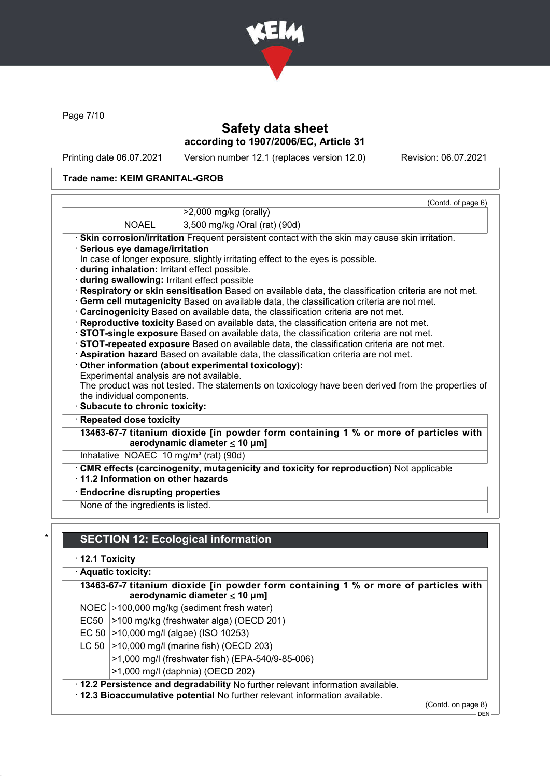

Page 7/10

## Safety data sheet according to 1907/2006/EC, Article 31

Printing date 06.07.2021 Version number 12.1 (replaces version 12.0) Revision: 06.07.2021

## Trade name: KEIM GRANITAL-GROB

|                                        | (Contd. of page 6)<br>$>2,000$ mg/kg (orally)                                                                                                      |
|----------------------------------------|----------------------------------------------------------------------------------------------------------------------------------------------------|
| <b>NOAEL</b>                           |                                                                                                                                                    |
|                                        | 3,500 mg/kg /Oral (rat) (90d)                                                                                                                      |
|                                        | · Skin corrosion/irritation Frequent persistent contact with the skin may cause skin irritation.                                                   |
| · Serious eye damage/irritation        |                                                                                                                                                    |
|                                        | In case of longer exposure, slightly irritating effect to the eyes is possible.                                                                    |
|                                        | during inhalation: Irritant effect possible.                                                                                                       |
|                                        | during swallowing: Irritant effect possible<br>Respiratory or skin sensitisation Based on available data, the classification criteria are not met. |
|                                        | · Germ cell mutagenicity Based on available data, the classification criteria are not met.                                                         |
|                                        | Carcinogenicity Based on available data, the classification criteria are not met.                                                                  |
|                                        |                                                                                                                                                    |
|                                        |                                                                                                                                                    |
|                                        | · Reproductive toxicity Based on available data, the classification criteria are not met.                                                          |
|                                        | STOT-single exposure Based on available data, the classification criteria are not met.                                                             |
|                                        | STOT-repeated exposure Based on available data, the classification criteria are not met.                                                           |
|                                        | · Aspiration hazard Based on available data, the classification criteria are not met.                                                              |
|                                        | Other information (about experimental toxicology):                                                                                                 |
|                                        | Experimental analysis are not available.                                                                                                           |
| the individual components.             |                                                                                                                                                    |
| · Subacute to chronic toxicity:        | The product was not tested. The statements on toxicology have been derived from the properties of                                                  |
| · Repeated dose toxicity               |                                                                                                                                                    |
|                                        | aerodynamic diameter $\leq 10$ µm]                                                                                                                 |
|                                        | 13463-67-7 titanium dioxide [in powder form containing 1 % or more of particles with<br>Inhalative   NOAEC   10 mg/m <sup>3</sup> (rat) (90d)      |
|                                        | CMR effects (carcinogenity, mutagenicity and toxicity for reproduction) Not applicable                                                             |
|                                        | $\cdot$ 11.2 Information on other hazards                                                                                                          |
| <b>Endocrine disrupting properties</b> |                                                                                                                                                    |

# **SECTION 12: Ecological information**

· 12.1 Toxicity

|       | · Aquatic toxicity:<br>13463-67-7 titanium dioxide [in powder form containing 1 % or more of particles with<br>aerodynamic diameter $\leq 10$ µm]              |  |  |  |
|-------|----------------------------------------------------------------------------------------------------------------------------------------------------------------|--|--|--|
|       |                                                                                                                                                                |  |  |  |
|       | NOEC $\geq$ 100,000 mg/kg (sediment fresh water)                                                                                                               |  |  |  |
| EC50  | >100 mg/kg (freshwater alga) (OECD 201)                                                                                                                        |  |  |  |
|       | >10,000 mg/l (algae) (ISO 10253)<br>EC 50                                                                                                                      |  |  |  |
| LC 50 | $\vert$ >10,000 mg/l (marine fish) (OECD 203)                                                                                                                  |  |  |  |
|       | >1,000 mg/l (freshwater fish) (EPA-540/9-85-006)                                                                                                               |  |  |  |
|       | >1,000 mg/l (daphnia) (OECD 202)                                                                                                                               |  |  |  |
|       | . 12.2 Persistence and degradability No further relevant information available.<br>. 12.3 Bioaccumulative potential No further relevant information available. |  |  |  |

(Contd. on page 8)

 $-$  DEN -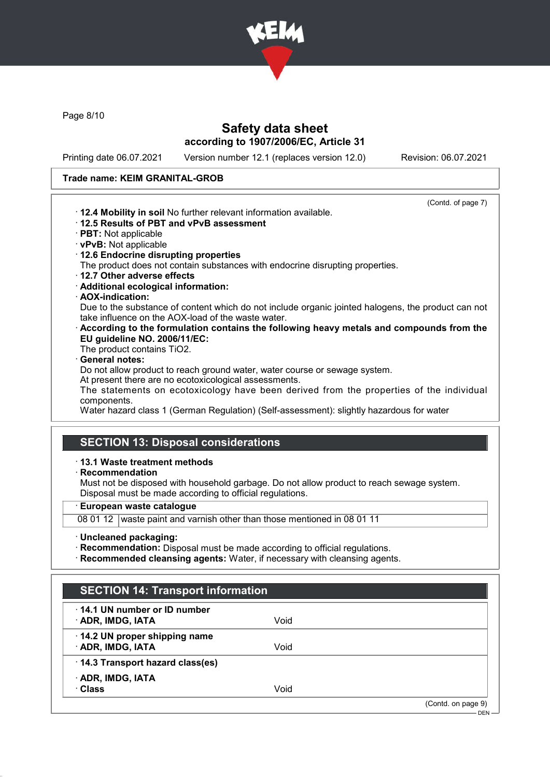

Page 8/10

## Safety data sheet according to 1907/2006/EC, Article 31

Printing date 06.07.2021 Version number 12.1 (replaces version 12.0) Revision: 06.07.2021

### Trade name: KEIM GRANITAL-GROB

(Contd. of page 7) · 12.4 Mobility in soil No further relevant information available. · 12.5 Results of PBT and vPvB assessment · PBT: Not applicable · vPvB: Not applicable · 12.6 Endocrine disrupting properties The product does not contain substances with endocrine disrupting properties. · 12.7 Other adverse effects · Additional ecological information: · AOX-indication: Due to the substance of content which do not include organic jointed halogens, the product can not take influence on the AOX-load of the waste water. · According to the formulation contains the following heavy metals and compounds from the EU guideline NO. 2006/11/EC: The product contains TiO2. General notes: Do not allow product to reach ground water, water course or sewage system. At present there are no ecotoxicological assessments. The statements on ecotoxicology have been derived from the properties of the individual components. Water hazard class 1 (German Regulation) (Self-assessment): slightly hazardous for water

# SECTION 13: Disposal considerations

### · 13.1 Waste treatment methods

· Recommendation

Must not be disposed with household garbage. Do not allow product to reach sewage system. Disposal must be made according to official regulations.

· European waste catalogue

08 01 12 waste paint and varnish other than those mentioned in 08 01 11

- · Uncleaned packaging:
- · Recommendation: Disposal must be made according to official regulations.
- · Recommended cleansing agents: Water, if necessary with cleansing agents.

| <b>SECTION 14: Transport information</b>                 |      |                    |
|----------------------------------------------------------|------|--------------------|
| $\cdot$ 14.1 UN number or ID number<br>· ADR, IMDG, IATA | Void |                    |
| 14.2 UN proper shipping name<br>· ADR, IMDG, IATA        | Void |                    |
| · 14.3 Transport hazard class(es)                        |      |                    |
| · ADR, IMDG, IATA<br>· Class                             | Void |                    |
|                                                          |      | (Contd. on page 9) |
|                                                          |      | $DEN -$            |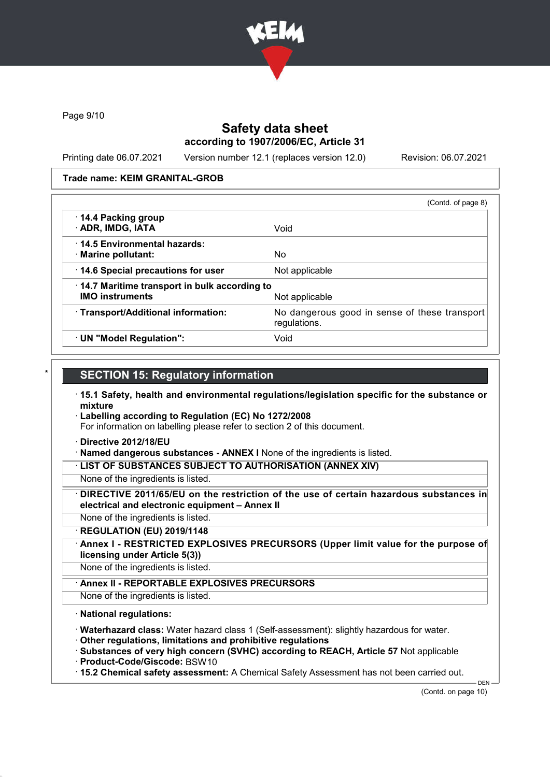

Page 9/10

## Safety data sheet according to 1907/2006/EC, Article 31

Printing date 06.07.2021 Version number 12.1 (replaces version 12.0) Revision: 06.07.2021

### Trade name: KEIM GRANITAL-GROB

|                                                                        | (Contd. of page 8)                                            |
|------------------------------------------------------------------------|---------------------------------------------------------------|
| 14.4 Packing group<br>· ADR, IMDG, IATA                                | Void                                                          |
| 14.5 Environmental hazards:<br>· Marine pollutant:                     | No.                                                           |
| 14.6 Special precautions for user                                      | Not applicable                                                |
| 14.7 Maritime transport in bulk according to<br><b>IMO instruments</b> | Not applicable                                                |
| · Transport/Additional information:                                    | No dangerous good in sense of these transport<br>regulations. |
| · UN "Model Regulation":                                               | Void                                                          |

### **SECTION 15: Regulatory information**

- · 15.1 Safety, health and environmental regulations/legislation specific for the substance or mixture
- · Labelling according to Regulation (EC) No 1272/2008

For information on labelling please refer to section 2 of this document.

- · Directive 2012/18/EU
- · Named dangerous substances ANNEX I None of the ingredients is listed.

· LIST OF SUBSTANCES SUBJECT TO AUTHORISATION (ANNEX XIV)

- None of the ingredients is listed.
- DIRECTIVE 2011/65/EU on the restriction of the use of certain hazardous substances in electrical and electronic equipment – Annex II
- None of the ingredients is listed.
- · REGULATION (EU) 2019/1148
- Annex I RESTRICTED EXPLOSIVES PRECURSORS (Upper limit value for the purpose of licensing under Article 5(3))
- None of the ingredients is listed.
	- Annex II REPORTABLE EXPLOSIVES PRECURSORS
- None of the ingredients is listed.

### · National regulations:

- · Waterhazard class: Water hazard class 1 (Self-assessment): slightly hazardous for water.
- · Other regulations, limitations and prohibitive regulations
- · Substances of very high concern (SVHC) according to REACH, Article 57 Not applicable
- · Product-Code/Giscode: BSW10
- · 15.2 Chemical safety assessment: A Chemical Safety Assessment has not been carried out.

DEN